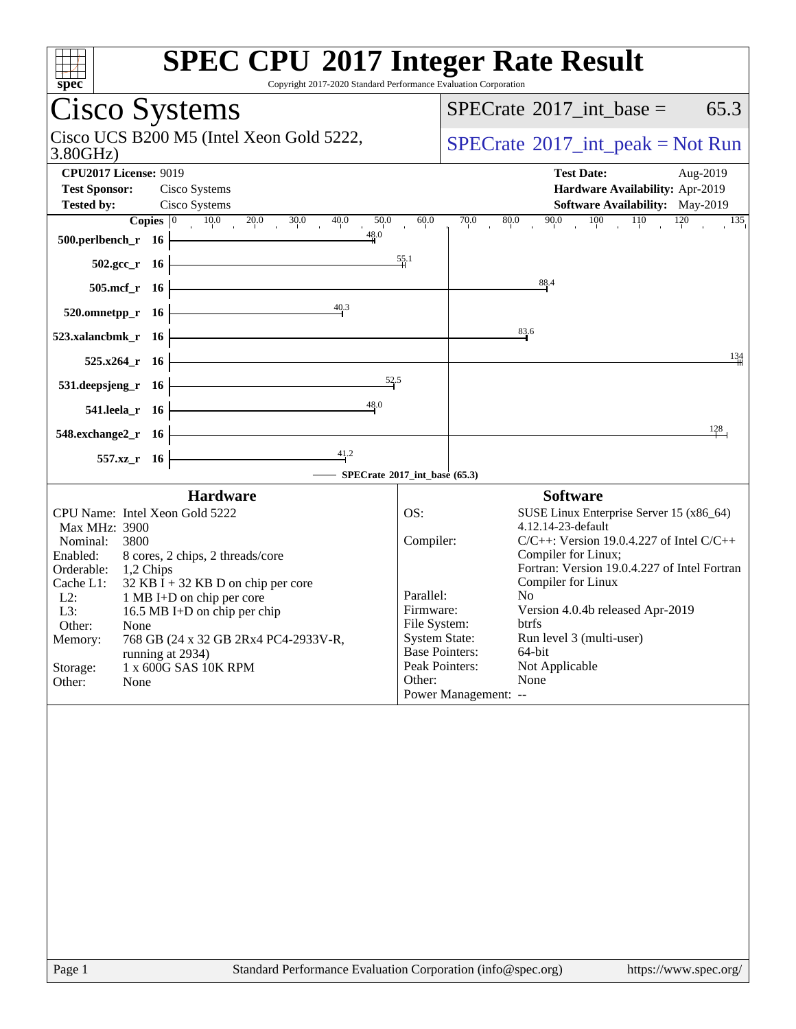| <b>SPEC CPU®2017 Integer Rate Result</b><br>spec<br>Copyright 2017-2020 Standard Performance Evaluation Corporation                                                                                                                                                                                                                                                                                                              |                                                                                                                                                                                                                                                                                                                                                                                                                                                                                                                |
|----------------------------------------------------------------------------------------------------------------------------------------------------------------------------------------------------------------------------------------------------------------------------------------------------------------------------------------------------------------------------------------------------------------------------------|----------------------------------------------------------------------------------------------------------------------------------------------------------------------------------------------------------------------------------------------------------------------------------------------------------------------------------------------------------------------------------------------------------------------------------------------------------------------------------------------------------------|
| Cisco Systems                                                                                                                                                                                                                                                                                                                                                                                                                    | $SPECrate^{\circledast}2017\_int\_base =$<br>65.3                                                                                                                                                                                                                                                                                                                                                                                                                                                              |
| Cisco UCS B200 M5 (Intel Xeon Gold 5222,<br>3.80GHz                                                                                                                                                                                                                                                                                                                                                                              | $SPECrate^{\circledcirc}2017\_int\_peak = Not Run$                                                                                                                                                                                                                                                                                                                                                                                                                                                             |
| <b>CPU2017 License: 9019</b><br><b>Test Sponsor:</b><br>Cisco Systems<br>Cisco Systems<br><b>Tested by:</b><br>50,0                                                                                                                                                                                                                                                                                                              | <b>Test Date:</b><br>Aug-2019<br>Hardware Availability: Apr-2019<br>Software Availability: May-2019<br>90.0 100 110 120 135<br>60.0<br>$\overline{70.0}$<br>80.0                                                                                                                                                                                                                                                                                                                                               |
| <b>Copies</b> $\begin{bmatrix} 0 & 10.0 & 20.0 & 30.0 & 40.0 & 50.0 \\ 1 & 16 & 48.0 & 48.0 \end{bmatrix}$<br>500.perlbench_r $16$ $\vdash$                                                                                                                                                                                                                                                                                      |                                                                                                                                                                                                                                                                                                                                                                                                                                                                                                                |
| $\frac{55.1}{2}$<br>$502.\text{sec}\text{r}$ 16<br>$505.\text{mcf}_r$ 16                                                                                                                                                                                                                                                                                                                                                         | 88.4                                                                                                                                                                                                                                                                                                                                                                                                                                                                                                           |
| 40.3<br>520.omnetpp_r $16$                                                                                                                                                                                                                                                                                                                                                                                                       |                                                                                                                                                                                                                                                                                                                                                                                                                                                                                                                |
| $523$ .xalancbmk_r 16                                                                                                                                                                                                                                                                                                                                                                                                            | 83.6                                                                                                                                                                                                                                                                                                                                                                                                                                                                                                           |
| <u> 1989 - Johann Barn, mars ann an t-Amhair an t-Amhair an t-Amhair an t-Amhair an t-Amhair an t-Amhair an t-Amh</u><br>$525.x264$ <sub>r</sub> 16<br>531. deepsjeng_r 16 $\overline{\qquad \qquad }$ 52.5                                                                                                                                                                                                                      | 134                                                                                                                                                                                                                                                                                                                                                                                                                                                                                                            |
| 541.leela_r 16 $\overline{\qquad}$ 16                                                                                                                                                                                                                                                                                                                                                                                            |                                                                                                                                                                                                                                                                                                                                                                                                                                                                                                                |
| $548$ .exchange $2\text{ r}$ 16                                                                                                                                                                                                                                                                                                                                                                                                  | 128                                                                                                                                                                                                                                                                                                                                                                                                                                                                                                            |
| $\overline{41.2}$<br>557.xz_r 16<br>SPECrate®2017_int_base (65.3)                                                                                                                                                                                                                                                                                                                                                                |                                                                                                                                                                                                                                                                                                                                                                                                                                                                                                                |
| <b>Hardware</b>                                                                                                                                                                                                                                                                                                                                                                                                                  | <b>Software</b>                                                                                                                                                                                                                                                                                                                                                                                                                                                                                                |
| CPU Name: Intel Xeon Gold 5222<br>Max MHz: 3900<br>Nominal:<br>3800<br>8 cores, 2 chips, 2 threads/core<br>Enabled:<br>Orderable:<br>1,2 Chips<br>Cache L1:<br>$32$ KB I + 32 KB D on chip per core<br>1 MB I+D on chip per core<br>$L2$ :<br>L3:<br>16.5 MB I+D on chip per chip<br>Other:<br>None<br>768 GB (24 x 32 GB 2Rx4 PC4-2933V-R,<br>Memory:<br>running at 2934)<br>1 x 600G SAS 10K RPM<br>Storage:<br>Other:<br>None | OS:<br>SUSE Linux Enterprise Server 15 (x86_64)<br>4.12.14-23-default<br>$C/C++$ : Version 19.0.4.227 of Intel $C/C++$<br>Compiler:<br>Compiler for Linux;<br>Fortran: Version 19.0.4.227 of Intel Fortran<br>Compiler for Linux<br>Parallel:<br>N <sub>0</sub><br>Version 4.0.4b released Apr-2019<br>Firmware:<br>File System:<br>btrfs<br><b>System State:</b><br>Run level 3 (multi-user)<br><b>Base Pointers:</b><br>64-bit<br>Peak Pointers:<br>Not Applicable<br>Other:<br>None<br>Power Management: -- |
| Standard Performance Evaluation Corporation (info@spec.org)<br>Page 1                                                                                                                                                                                                                                                                                                                                                            | https://www.spec.org/                                                                                                                                                                                                                                                                                                                                                                                                                                                                                          |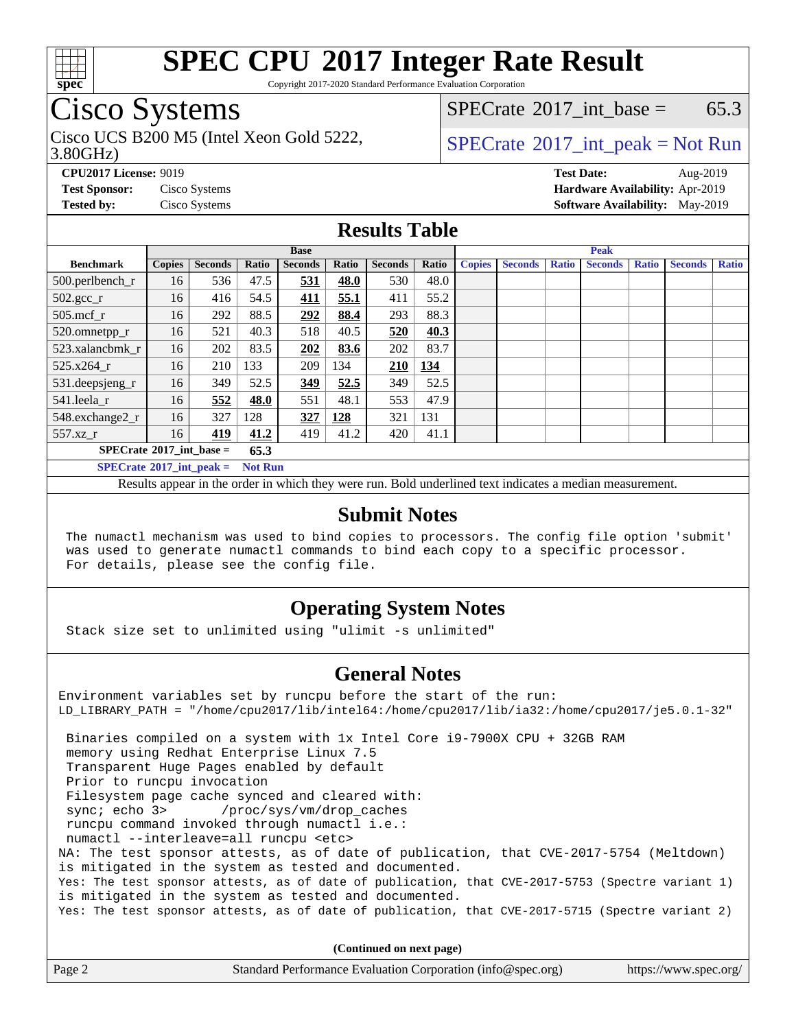

Copyright 2017-2020 Standard Performance Evaluation Corporation

## Cisco Systems

3.80GHz) Cisco UCS B200 M5 (Intel Xeon Gold 5222,  $SPECTU2222$ ,  $SPECTU22017$  int peak = Not Run

[SPECrate](http://www.spec.org/auto/cpu2017/Docs/result-fields.html#SPECrate2017intbase)<sup>®</sup>2017 int base = 65.3

**[CPU2017 License:](http://www.spec.org/auto/cpu2017/Docs/result-fields.html#CPU2017License)** 9019 **[Test Date:](http://www.spec.org/auto/cpu2017/Docs/result-fields.html#TestDate)** Aug-2019 **[Test Sponsor:](http://www.spec.org/auto/cpu2017/Docs/result-fields.html#TestSponsor)** Cisco Systems **[Hardware Availability:](http://www.spec.org/auto/cpu2017/Docs/result-fields.html#HardwareAvailability)** Apr-2019 **[Tested by:](http://www.spec.org/auto/cpu2017/Docs/result-fields.html#Testedby)** Cisco Systems **[Software Availability:](http://www.spec.org/auto/cpu2017/Docs/result-fields.html#SoftwareAvailability)** May-2019

#### **[Results Table](http://www.spec.org/auto/cpu2017/Docs/result-fields.html#ResultsTable)**

|                                     | <b>Base</b>   |                |                |                | <b>Peak</b> |                |       |               |                |              |                |              |                |              |
|-------------------------------------|---------------|----------------|----------------|----------------|-------------|----------------|-------|---------------|----------------|--------------|----------------|--------------|----------------|--------------|
| <b>Benchmark</b>                    | <b>Copies</b> | <b>Seconds</b> | Ratio          | <b>Seconds</b> | Ratio       | <b>Seconds</b> | Ratio | <b>Copies</b> | <b>Seconds</b> | <b>Ratio</b> | <b>Seconds</b> | <b>Ratio</b> | <b>Seconds</b> | <b>Ratio</b> |
| $500.$ perlbench_r                  | 16            | 536            | 47.5           | 531            | 48.0        | 530            | 48.0  |               |                |              |                |              |                |              |
| $502.\text{sec}\text{r}$            | 16            | 416            | 54.5           | 411            | 55.1        | 411            | 55.2  |               |                |              |                |              |                |              |
| $505$ .mcf r                        | 16            | 292            | 88.5           | 292            | 88.4        | 293            | 88.3  |               |                |              |                |              |                |              |
| 520.omnetpp_r                       | 16            | 521            | 40.3           | 518            | 40.5        | 520            | 40.3  |               |                |              |                |              |                |              |
| 523.xalancbmk r                     | 16            | 202            | 83.5           | 202            | 83.6        | 202            | 83.7  |               |                |              |                |              |                |              |
| 525.x264 r                          | 16            | 210            | 133            | 209            | 134         | <b>210</b>     | 134   |               |                |              |                |              |                |              |
| $531.$ deepsjeng $_r$               | 16            | 349            | 52.5           | 349            | 52.5        | 349            | 52.5  |               |                |              |                |              |                |              |
| 541.leela r                         | 16            | 552            | 48.0           | 551            | 48.1        | 553            | 47.9  |               |                |              |                |              |                |              |
| 548.exchange2_r                     | 16            | 327            | 128            | 327            | 128         | 321            | 131   |               |                |              |                |              |                |              |
| 557.xz r                            | 16            | 419            | 41.2           | 419            | 41.2        | 420            | 41.1  |               |                |              |                |              |                |              |
| $SPECrate^{\circ}2017$ int base =   |               |                | 65.3           |                |             |                |       |               |                |              |                |              |                |              |
| $SPECrate^{\circ}2017\_int\_peak =$ |               |                | <b>Not Run</b> |                |             |                |       |               |                |              |                |              |                |              |

Results appear in the [order in which they were run.](http://www.spec.org/auto/cpu2017/Docs/result-fields.html#RunOrder) Bold underlined text [indicates a median measurement.](http://www.spec.org/auto/cpu2017/Docs/result-fields.html#Median)

#### **[Submit Notes](http://www.spec.org/auto/cpu2017/Docs/result-fields.html#SubmitNotes)**

 The numactl mechanism was used to bind copies to processors. The config file option 'submit' was used to generate numactl commands to bind each copy to a specific processor. For details, please see the config file.

### **[Operating System Notes](http://www.spec.org/auto/cpu2017/Docs/result-fields.html#OperatingSystemNotes)**

Stack size set to unlimited using "ulimit -s unlimited"

#### **[General Notes](http://www.spec.org/auto/cpu2017/Docs/result-fields.html#GeneralNotes)**

Environment variables set by runcpu before the start of the run: LD\_LIBRARY\_PATH = "/home/cpu2017/lib/intel64:/home/cpu2017/lib/ia32:/home/cpu2017/je5.0.1-32" Binaries compiled on a system with 1x Intel Core i9-7900X CPU + 32GB RAM memory using Redhat Enterprise Linux 7.5 Transparent Huge Pages enabled by default Prior to runcpu invocation Filesystem page cache synced and cleared with: sync; echo 3> /proc/sys/vm/drop\_caches runcpu command invoked through numactl i.e.: numactl --interleave=all runcpu <etc> NA: The test sponsor attests, as of date of publication, that CVE-2017-5754 (Meltdown) is mitigated in the system as tested and documented. Yes: The test sponsor attests, as of date of publication, that CVE-2017-5753 (Spectre variant 1) is mitigated in the system as tested and documented. Yes: The test sponsor attests, as of date of publication, that CVE-2017-5715 (Spectre variant 2)

**(Continued on next page)**

| Page 2 | Standard Performance Evaluation Corporation (info@spec.org) | https://www.spec.org/ |
|--------|-------------------------------------------------------------|-----------------------|
|        |                                                             |                       |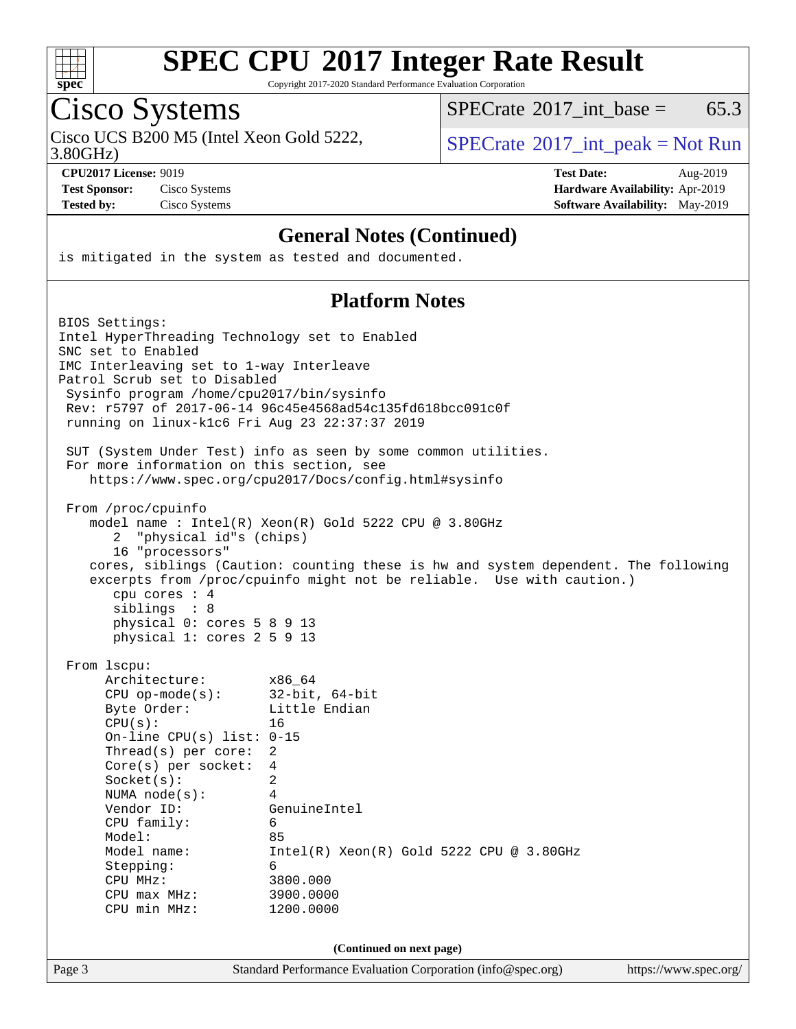

Copyright 2017-2020 Standard Performance Evaluation Corporation

# Cisco Systems

Cisco UCS B200 M5 (Intel Xeon Gold 5222,  $SPECTR = SPECrate^{\circ}2017\_int\_peak = Not Run$  $SPECTR = SPECrate^{\circ}2017\_int\_peak = Not Run$  $SPECTR = SPECrate^{\circ}2017\_int\_peak = Not Run$ 

 $SPECTate@2017_int\_base = 65.3$ 

3.80GHz)

**[Test Sponsor:](http://www.spec.org/auto/cpu2017/Docs/result-fields.html#TestSponsor)** Cisco Systems **[Hardware Availability:](http://www.spec.org/auto/cpu2017/Docs/result-fields.html#HardwareAvailability)** Apr-2019 **[Tested by:](http://www.spec.org/auto/cpu2017/Docs/result-fields.html#Testedby)** Cisco Systems **[Software Availability:](http://www.spec.org/auto/cpu2017/Docs/result-fields.html#SoftwareAvailability)** May-2019

**[CPU2017 License:](http://www.spec.org/auto/cpu2017/Docs/result-fields.html#CPU2017License)** 9019 **[Test Date:](http://www.spec.org/auto/cpu2017/Docs/result-fields.html#TestDate)** Aug-2019

### **[General Notes \(Continued\)](http://www.spec.org/auto/cpu2017/Docs/result-fields.html#GeneralNotes)**

is mitigated in the system as tested and documented.

### **[Platform Notes](http://www.spec.org/auto/cpu2017/Docs/result-fields.html#PlatformNotes)**

| Page 3                           |                                                                                                                                                                                                                                                                                 | Standard Performance Evaluation Corporation (info@spec.org)                                                                                                                                                         | https://www.spec.org/ |
|----------------------------------|---------------------------------------------------------------------------------------------------------------------------------------------------------------------------------------------------------------------------------------------------------------------------------|---------------------------------------------------------------------------------------------------------------------------------------------------------------------------------------------------------------------|-----------------------|
|                                  |                                                                                                                                                                                                                                                                                 | (Continued on next page)                                                                                                                                                                                            |                       |
| From 1scpu:<br>CPU(s):<br>Model: | Architecture:<br>$CPU$ op-mode( $s$ ):<br>Byte Order:<br>On-line CPU(s) list: $0-15$<br>Thread(s) per core:<br>$Core(s)$ per socket:<br>Socket(s):<br>NUMA $node(s):$<br>Vendor ID:<br>CPU family:<br>Model name:<br>Stepping:<br>CPU MHz:<br>$CPU$ max $MHz$ :<br>CPU min MHz: | x86 64<br>$32$ -bit, $64$ -bit<br>Little Endian<br>16<br>$\overline{2}$<br>4<br>2<br>4<br>GenuineIntel<br>6<br>85<br>$Intel(R) Xeon(R) Gold 5222 CPU @ 3.80GHz$<br>6<br>3800.000<br>3900.0000<br>1200.0000          |                       |
| 2                                | From /proc/cpuinfo<br>"physical id"s (chips)<br>16 "processors"<br>cpu cores $: 4$<br>siblings : 8<br>physical 0: cores 5 8 9 13<br>physical 1: cores 2 5 9 13                                                                                                                  | model name: Intel(R) Xeon(R) Gold 5222 CPU @ 3.80GHz<br>cores, siblings (Caution: counting these is hw and system dependent. The following<br>excerpts from /proc/cpuinfo might not be reliable. Use with caution.) |                       |
|                                  | For more information on this section, see                                                                                                                                                                                                                                       | SUT (System Under Test) info as seen by some common utilities.<br>https://www.spec.org/cpu2017/Docs/config.html#sysinfo                                                                                             |                       |
| SNC set to Enabled               | IMC Interleaving set to 1-way Interleave<br>Patrol Scrub set to Disabled<br>Sysinfo program /home/cpu2017/bin/sysinfo                                                                                                                                                           | Intel HyperThreading Technology set to Enabled<br>Rev: r5797 of 2017-06-14 96c45e4568ad54c135fd618bcc091c0f<br>running on linux-k1c6 Fri Aug 23 22:37:37 2019                                                       |                       |
| BIOS Settings:                   |                                                                                                                                                                                                                                                                                 |                                                                                                                                                                                                                     |                       |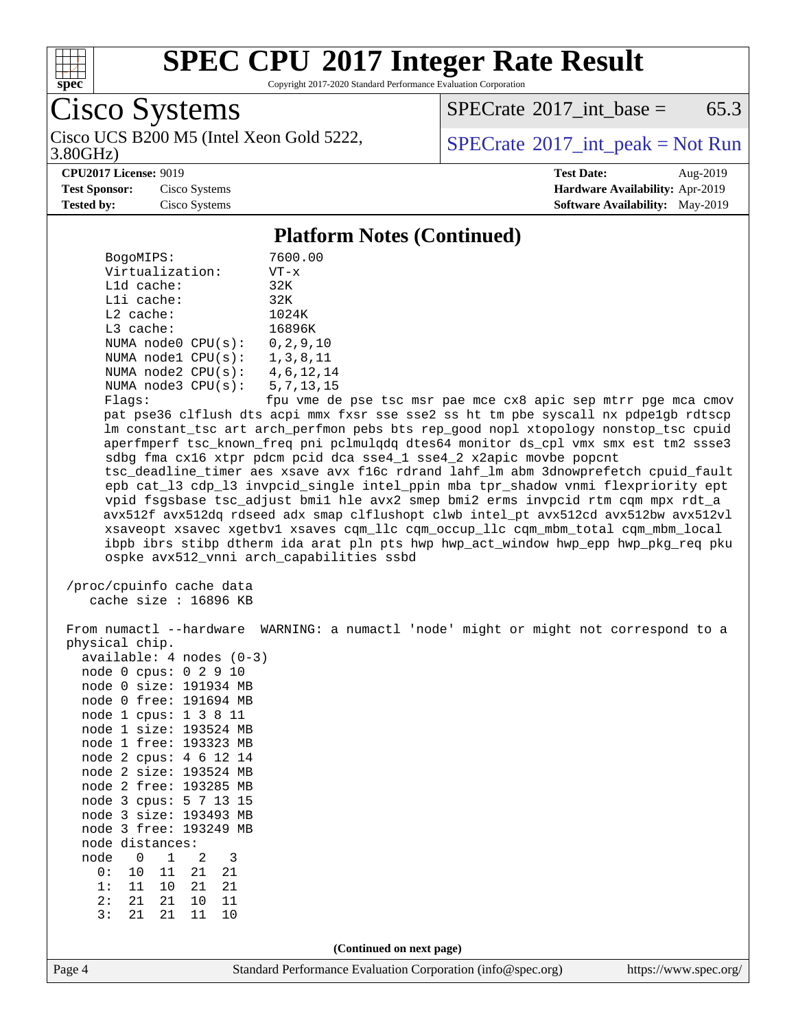

Copyright 2017-2020 Standard Performance Evaluation Corporation

Cisco Systems

3.80GHz) Cisco UCS B200 M5 (Intel Xeon Gold 5222,  $\begin{array}{c|c} \text{SPECrate} \textdegree 2017\_int\_peak = Not Run \\ \text{3.80GHz} \end{array}$  $\begin{array}{c|c} \text{SPECrate} \textdegree 2017\_int\_peak = Not Run \\ \text{3.80GHz} \end{array}$  $\begin{array}{c|c} \text{SPECrate} \textdegree 2017\_int\_peak = Not Run \\ \text{3.80GHz} \end{array}$ 

 $SPECTate@2017_int\_base = 65.3$ 

**[CPU2017 License:](http://www.spec.org/auto/cpu2017/Docs/result-fields.html#CPU2017License)** 9019 **[Test Date:](http://www.spec.org/auto/cpu2017/Docs/result-fields.html#TestDate)** Aug-2019 **[Test Sponsor:](http://www.spec.org/auto/cpu2017/Docs/result-fields.html#TestSponsor)** Cisco Systems **[Hardware Availability:](http://www.spec.org/auto/cpu2017/Docs/result-fields.html#HardwareAvailability)** Apr-2019 **[Tested by:](http://www.spec.org/auto/cpu2017/Docs/result-fields.html#Testedby)** Cisco Systems **[Software Availability:](http://www.spec.org/auto/cpu2017/Docs/result-fields.html#SoftwareAvailability)** May-2019

#### **[Platform Notes \(Continued\)](http://www.spec.org/auto/cpu2017/Docs/result-fields.html#PlatformNotes)**

| Page 4                                                   | Standard Performance Evaluation Corporation (info@spec.org)                                                                                               | https://www.spec.org/ |
|----------------------------------------------------------|-----------------------------------------------------------------------------------------------------------------------------------------------------------|-----------------------|
|                                                          | (Continued on next page)                                                                                                                                  |                       |
| 2:<br>21<br>21<br>10<br>11<br>21<br>3:<br>21<br>11<br>10 |                                                                                                                                                           |                       |
| 11<br>21<br>1:<br>10<br>21                               |                                                                                                                                                           |                       |
| 0:<br>$10$<br>21<br>21<br>11                             |                                                                                                                                                           |                       |
| node<br>0<br>3<br>1<br>2                                 |                                                                                                                                                           |                       |
| node distances:                                          |                                                                                                                                                           |                       |
| node 3 free: 193249 MB                                   |                                                                                                                                                           |                       |
| node 3 cpus: 5 7 13 15<br>node 3 size: 193493 MB         |                                                                                                                                                           |                       |
| node 2 free: 193285 MB                                   |                                                                                                                                                           |                       |
| node 2 size: 193524 MB                                   |                                                                                                                                                           |                       |
| node 2 cpus: 4 6 12 14                                   |                                                                                                                                                           |                       |
| node 1 free: 193323 MB                                   |                                                                                                                                                           |                       |
| node 1 size: 193524 MB                                   |                                                                                                                                                           |                       |
| node 1 cpus: 1 3 8 11                                    |                                                                                                                                                           |                       |
| node 0 free: 191694 MB                                   |                                                                                                                                                           |                       |
| node 0 size: 191934 MB                                   |                                                                                                                                                           |                       |
| available: 4 nodes (0-3)<br>node 0 cpus: 0 2 9 10        |                                                                                                                                                           |                       |
| physical chip.                                           |                                                                                                                                                           |                       |
|                                                          | From numactl --hardware WARNING: a numactl 'node' might or might not correspond to a                                                                      |                       |
| /proc/cpuinfo cache data<br>cache size $: 16896$ KB      |                                                                                                                                                           |                       |
|                                                          | ibpb ibrs stibp dtherm ida arat pln pts hwp hwp_act_window hwp_epp hwp_pkg_req pku<br>ospke avx512_vnni arch_capabilities ssbd                            |                       |
|                                                          | xsaveopt xsavec xgetbvl xsaves cqm_llc cqm_occup_llc cqm_mbm_total cqm_mbm_local                                                                          |                       |
|                                                          | avx512f avx512dq rdseed adx smap clflushopt clwb intel_pt avx512cd avx512bw avx512vl                                                                      |                       |
|                                                          | vpid fsgsbase tsc_adjust bmil hle avx2 smep bmi2 erms invpcid rtm cqm mpx rdt_a                                                                           |                       |
|                                                          | epb cat_13 cdp_13 invpcid_single intel_ppin mba tpr_shadow vnmi flexpriority ept                                                                          |                       |
|                                                          | tsc_deadline_timer aes xsave avx f16c rdrand lahf_lm abm 3dnowprefetch cpuid_fault                                                                        |                       |
|                                                          | aperfmperf tsc_known_freq pni pclmulqdq dtes64 monitor ds_cpl vmx smx est tm2 ssse3<br>sdbg fma cx16 xtpr pdcm pcid dca sse4_1 sse4_2 x2apic movbe popcnt |                       |
|                                                          | lm constant_tsc art arch_perfmon pebs bts rep_good nopl xtopology nonstop_tsc cpuid                                                                       |                       |
|                                                          | pat pse36 clflush dts acpi mmx fxsr sse sse2 ss ht tm pbe syscall nx pdpe1gb rdtscp                                                                       |                       |
| Flags:                                                   | fpu vme de pse tsc msr pae mce cx8 apic sep mtrr pge mca cmov                                                                                             |                       |
| NUMA node3 CPU(s):                                       | 5,7,13,15                                                                                                                                                 |                       |
| NUMA $node2$ $CPU(s)$ :                                  | 4,6,12,14                                                                                                                                                 |                       |
| NUMA nodel CPU(s):                                       | 1,3,8,11                                                                                                                                                  |                       |
| NUMA $node0$ $CPU(s):$                                   | 0, 2, 9, 10                                                                                                                                               |                       |
| L3 cache:                                                | 16896K                                                                                                                                                    |                       |
| $L2$ cache:                                              | 1024K                                                                                                                                                     |                       |
| Lli cache:                                               | 32K<br>32K                                                                                                                                                |                       |
| Virtualization:<br>L1d cache:                            | $VT - x$                                                                                                                                                  |                       |
| BogoMIPS:                                                | 7600.00                                                                                                                                                   |                       |
|                                                          |                                                                                                                                                           |                       |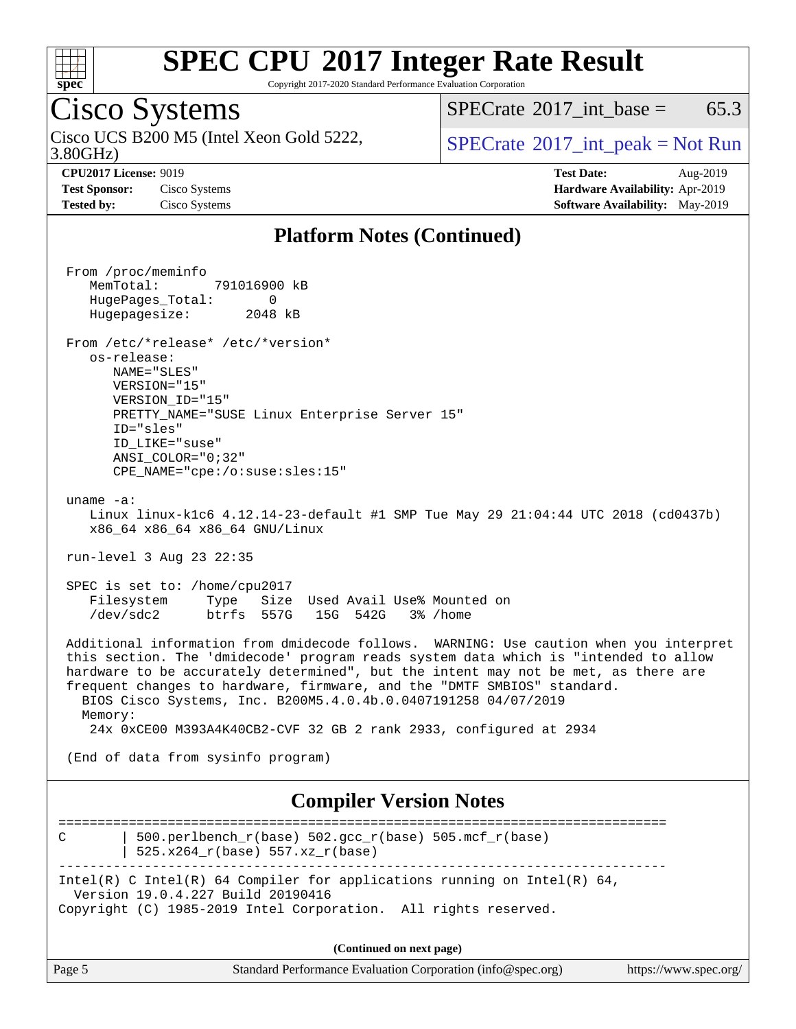

Copyright 2017-2020 Standard Performance Evaluation Corporation

## Cisco Systems

3.80GHz) Cisco UCS B200 M5 (Intel Xeon Gold 5222,  $\text{SPECrate}^{\circ}2017\_int\_peak = Not Run$  $\text{SPECrate}^{\circ}2017\_int\_peak = Not Run$  $\text{SPECrate}^{\circ}2017\_int\_peak = Not Run$ 

[SPECrate](http://www.spec.org/auto/cpu2017/Docs/result-fields.html#SPECrate2017intbase)<sup>®</sup>2017 int base = 65.3

**[Test Sponsor:](http://www.spec.org/auto/cpu2017/Docs/result-fields.html#TestSponsor)** Cisco Systems **[Hardware Availability:](http://www.spec.org/auto/cpu2017/Docs/result-fields.html#HardwareAvailability)** Apr-2019 **[Tested by:](http://www.spec.org/auto/cpu2017/Docs/result-fields.html#Testedby)** Cisco Systems **[Software Availability:](http://www.spec.org/auto/cpu2017/Docs/result-fields.html#SoftwareAvailability)** May-2019

**[CPU2017 License:](http://www.spec.org/auto/cpu2017/Docs/result-fields.html#CPU2017License)** 9019 **[Test Date:](http://www.spec.org/auto/cpu2017/Docs/result-fields.html#TestDate)** Aug-2019

### **[Platform Notes \(Continued\)](http://www.spec.org/auto/cpu2017/Docs/result-fields.html#PlatformNotes)**

 From /proc/meminfo MemTotal: 791016900 kB HugePages\_Total: 0 Hugepagesize: 2048 kB From /etc/\*release\* /etc/\*version\* os-release: NAME="SLES" VERSION="15" VERSION\_ID="15" PRETTY NAME="SUSE Linux Enterprise Server 15" ID="sles" ID\_LIKE="suse" ANSI\_COLOR="0;32" CPE\_NAME="cpe:/o:suse:sles:15" uname -a: Linux linux-k1c6 4.12.14-23-default #1 SMP Tue May 29 21:04:44 UTC 2018 (cd0437b) x86\_64 x86\_64 x86\_64 GNU/Linux run-level 3 Aug 23 22:35 SPEC is set to: /home/cpu2017 Filesystem Type Size Used Avail Use% Mounted on /dev/sdc2 btrfs 557G 15G 542G 3% /home Additional information from dmidecode follows. WARNING: Use caution when you interpret this section. The 'dmidecode' program reads system data which is "intended to allow hardware to be accurately determined", but the intent may not be met, as there are frequent changes to hardware, firmware, and the "DMTF SMBIOS" standard. BIOS Cisco Systems, Inc. B200M5.4.0.4b.0.0407191258 04/07/2019 Memory: 24x 0xCE00 M393A4K40CB2-CVF 32 GB 2 rank 2933, configured at 2934 (End of data from sysinfo program) **[Compiler Version Notes](http://www.spec.org/auto/cpu2017/Docs/result-fields.html#CompilerVersionNotes)** ============================================================================== C  $\vert$  500.perlbench\_r(base) 502.gcc\_r(base) 505.mcf\_r(base) | 525.x264\_r(base) 557.xz\_r(base) ------------------------------------------------------------------------------ Intel(R) C Intel(R) 64 Compiler for applications running on Intel(R)  $64$ , Version 19.0.4.227 Build 20190416 Copyright (C) 1985-2019 Intel Corporation. All rights reserved. **(Continued on next page)**

| Page 5<br>Standard Performance Evaluation Corporation (info@spec.org)<br>https://www.spec.org/ |
|------------------------------------------------------------------------------------------------|
|------------------------------------------------------------------------------------------------|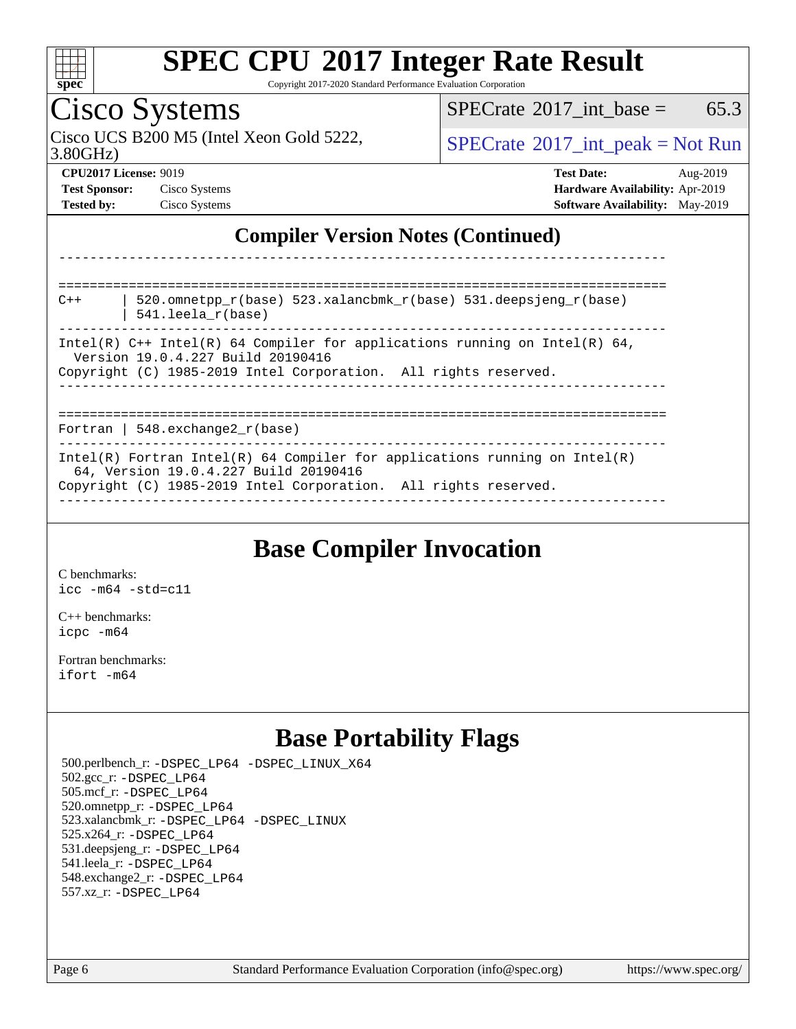

Copyright 2017-2020 Standard Performance Evaluation Corporation

## Cisco Systems

3.80GHz) Cisco UCS B200 M5 (Intel Xeon Gold 5222,  $\begin{array}{c|c}\n\text{SPECrate} \textdegree 2017\_int\_peak = Not Run\n\end{array}$  $\begin{array}{c|c}\n\text{SPECrate} \textdegree 2017\_int\_peak = Not Run\n\end{array}$  $\begin{array}{c|c}\n\text{SPECrate} \textdegree 2017\_int\_peak = Not Run\n\end{array}$ 

 $SPECTate$ <sup>®</sup>[2017\\_int\\_base =](http://www.spec.org/auto/cpu2017/Docs/result-fields.html#SPECrate2017intbase) 65.3

**[CPU2017 License:](http://www.spec.org/auto/cpu2017/Docs/result-fields.html#CPU2017License)** 9019 **[Test Date:](http://www.spec.org/auto/cpu2017/Docs/result-fields.html#TestDate)** Aug-2019 **[Test Sponsor:](http://www.spec.org/auto/cpu2017/Docs/result-fields.html#TestSponsor)** Cisco Systems **[Hardware Availability:](http://www.spec.org/auto/cpu2017/Docs/result-fields.html#HardwareAvailability)** Apr-2019 **[Tested by:](http://www.spec.org/auto/cpu2017/Docs/result-fields.html#Testedby)** Cisco Systems **[Software Availability:](http://www.spec.org/auto/cpu2017/Docs/result-fields.html#SoftwareAvailability)** May-2019

### **[Compiler Version Notes \(Continued\)](http://www.spec.org/auto/cpu2017/Docs/result-fields.html#CompilerVersionNotes)**

| 520.omnetpp $r(base)$ 523.xalancbmk $r(base)$ 531.deepsjeng $r(base)$<br>$C++$<br>$541.$ leela $r(base)$                                                                               |
|----------------------------------------------------------------------------------------------------------------------------------------------------------------------------------------|
| Intel(R) $C++$ Intel(R) 64 Compiler for applications running on Intel(R) 64,<br>Version 19.0.4.227 Build 20190416<br>Copyright (C) 1985-2019 Intel Corporation. All rights reserved.   |
| Fortran   548.exchange2 $r(base)$                                                                                                                                                      |
| Intel(R) Fortran Intel(R) 64 Compiler for applications running on Intel(R)<br>64, Version 19.0.4.227 Build 20190416<br>Copyright (C) 1985-2019 Intel Corporation. All rights reserved. |

------------------------------------------------------------------------------

## **[Base Compiler Invocation](http://www.spec.org/auto/cpu2017/Docs/result-fields.html#BaseCompilerInvocation)**

[C benchmarks](http://www.spec.org/auto/cpu2017/Docs/result-fields.html#Cbenchmarks): [icc -m64 -std=c11](http://www.spec.org/cpu2017/results/res2019q3/cpu2017-20190903-17693.flags.html#user_CCbase_intel_icc_64bit_c11_33ee0cdaae7deeeab2a9725423ba97205ce30f63b9926c2519791662299b76a0318f32ddfffdc46587804de3178b4f9328c46fa7c2b0cd779d7a61945c91cd35)

[C++ benchmarks:](http://www.spec.org/auto/cpu2017/Docs/result-fields.html#CXXbenchmarks) [icpc -m64](http://www.spec.org/cpu2017/results/res2019q3/cpu2017-20190903-17693.flags.html#user_CXXbase_intel_icpc_64bit_4ecb2543ae3f1412ef961e0650ca070fec7b7afdcd6ed48761b84423119d1bf6bdf5cad15b44d48e7256388bc77273b966e5eb805aefd121eb22e9299b2ec9d9)

[Fortran benchmarks](http://www.spec.org/auto/cpu2017/Docs/result-fields.html#Fortranbenchmarks): [ifort -m64](http://www.spec.org/cpu2017/results/res2019q3/cpu2017-20190903-17693.flags.html#user_FCbase_intel_ifort_64bit_24f2bb282fbaeffd6157abe4f878425411749daecae9a33200eee2bee2fe76f3b89351d69a8130dd5949958ce389cf37ff59a95e7a40d588e8d3a57e0c3fd751)

## **[Base Portability Flags](http://www.spec.org/auto/cpu2017/Docs/result-fields.html#BasePortabilityFlags)**

 500.perlbench\_r: [-DSPEC\\_LP64](http://www.spec.org/cpu2017/results/res2019q3/cpu2017-20190903-17693.flags.html#b500.perlbench_r_basePORTABILITY_DSPEC_LP64) [-DSPEC\\_LINUX\\_X64](http://www.spec.org/cpu2017/results/res2019q3/cpu2017-20190903-17693.flags.html#b500.perlbench_r_baseCPORTABILITY_DSPEC_LINUX_X64) 502.gcc\_r: [-DSPEC\\_LP64](http://www.spec.org/cpu2017/results/res2019q3/cpu2017-20190903-17693.flags.html#suite_basePORTABILITY502_gcc_r_DSPEC_LP64) 505.mcf\_r: [-DSPEC\\_LP64](http://www.spec.org/cpu2017/results/res2019q3/cpu2017-20190903-17693.flags.html#suite_basePORTABILITY505_mcf_r_DSPEC_LP64) 520.omnetpp\_r: [-DSPEC\\_LP64](http://www.spec.org/cpu2017/results/res2019q3/cpu2017-20190903-17693.flags.html#suite_basePORTABILITY520_omnetpp_r_DSPEC_LP64) 523.xalancbmk\_r: [-DSPEC\\_LP64](http://www.spec.org/cpu2017/results/res2019q3/cpu2017-20190903-17693.flags.html#suite_basePORTABILITY523_xalancbmk_r_DSPEC_LP64) [-DSPEC\\_LINUX](http://www.spec.org/cpu2017/results/res2019q3/cpu2017-20190903-17693.flags.html#b523.xalancbmk_r_baseCXXPORTABILITY_DSPEC_LINUX) 525.x264\_r: [-DSPEC\\_LP64](http://www.spec.org/cpu2017/results/res2019q3/cpu2017-20190903-17693.flags.html#suite_basePORTABILITY525_x264_r_DSPEC_LP64) 531.deepsjeng\_r: [-DSPEC\\_LP64](http://www.spec.org/cpu2017/results/res2019q3/cpu2017-20190903-17693.flags.html#suite_basePORTABILITY531_deepsjeng_r_DSPEC_LP64) 541.leela\_r: [-DSPEC\\_LP64](http://www.spec.org/cpu2017/results/res2019q3/cpu2017-20190903-17693.flags.html#suite_basePORTABILITY541_leela_r_DSPEC_LP64) 548.exchange2\_r: [-DSPEC\\_LP64](http://www.spec.org/cpu2017/results/res2019q3/cpu2017-20190903-17693.flags.html#suite_basePORTABILITY548_exchange2_r_DSPEC_LP64) 557.xz\_r: [-DSPEC\\_LP64](http://www.spec.org/cpu2017/results/res2019q3/cpu2017-20190903-17693.flags.html#suite_basePORTABILITY557_xz_r_DSPEC_LP64)